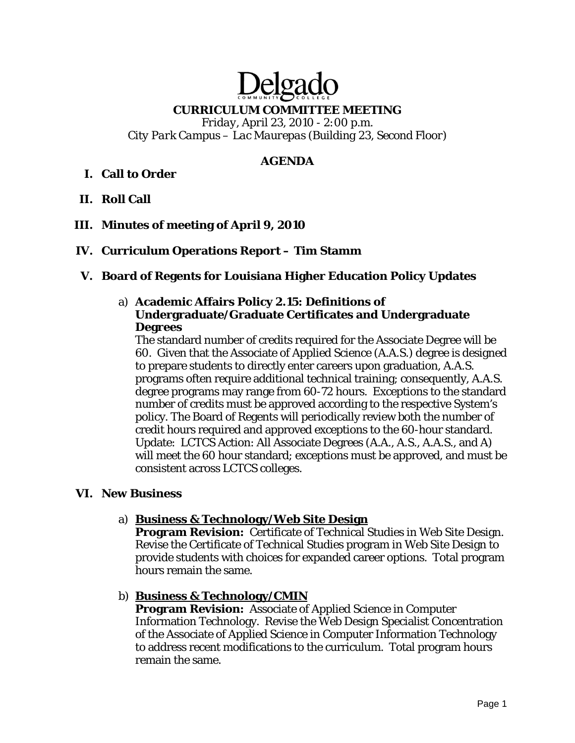# Delga

#### **CURRICULUM COMMITTEE MEETING**

*Friday, April 23, 2010 - 2:00 p.m. City Park Campus – Lac Maurepas (Building 23, Second Floor)* 

#### **AGENDA**

# **I. Call to Order**

- **II. Roll Call**
- **III. Minutes of meeting of April 9, 2010**
- **IV. Curriculum Operations Report Tim Stamm**

#### **V. Board of Regents for Louisiana Higher Education Policy Updates**

#### a) **Academic Affairs Policy 2.15: Definitions of Undergraduate/Graduate Certificates and Undergraduate Degrees**

The standard number of credits required for the Associate Degree will be 60. Given that the Associate of Applied Science (A.A.S.) degree is designed to prepare students to directly enter careers upon graduation, A.A.S. programs often require additional technical training; consequently, A.A.S. degree programs may range from 60-72 hours. Exceptions to the standard number of credits must be approved according to the respective System's policy. The Board of Regents will periodically review both the number of credit hours required and approved exceptions to the 60-hour standard. Update: LCTCS Action: All Associate Degrees (A.A., A.S., A.A.S., and A) will meet the 60 hour standard; exceptions must be approved, and must be consistent across LCTCS colleges.

#### **VI. New Business**

#### a) **Business & Technology/Web Site Design**

**Program Revision:** Certificate of Technical Studies in Web Site Design. Revise the Certificate of Technical Studies program in Web Site Design to provide students with choices for expanded career options. Total program hours remain the same.

#### b) **Business & Technology/CMIN**

**Program Revision:** Associate of Applied Science in Computer Information Technology. Revise the Web Design Specialist Concentration of the Associate of Applied Science in Computer Information Technology to address recent modifications to the curriculum. Total program hours remain the same.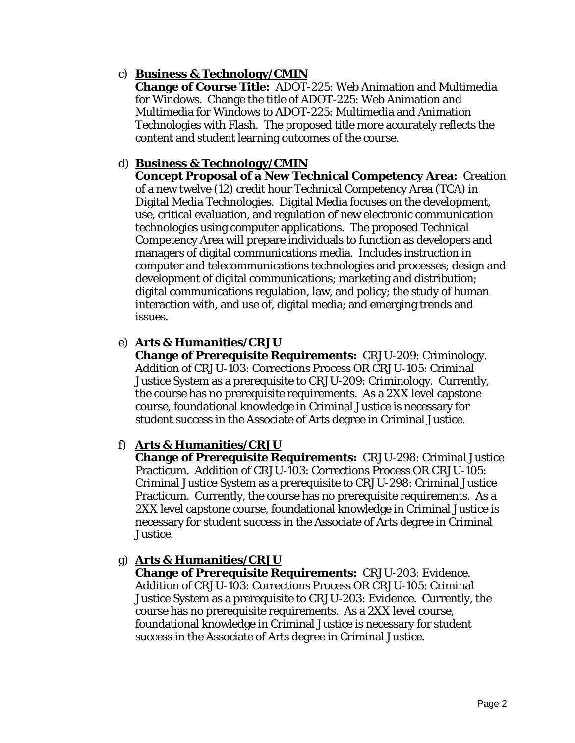# c) **Business & Technology/CMIN**

**Change of Course Title:** ADOT-225: Web Animation and Multimedia for Windows. Change the title of ADOT-225: Web Animation and Multimedia for Windows to ADOT-225: Multimedia and Animation Technologies with Flash. The proposed title more accurately reflects the content and student learning outcomes of the course.

# d) **Business & Technology/CMIN**

**Concept Proposal of a New Technical Competency Area:** Creation of a new twelve (12) credit hour Technical Competency Area (TCA) in Digital Media Technologies. Digital Media focuses on the development, use, critical evaluation, and regulation of new electronic communication technologies using computer applications. The proposed Technical Competency Area will prepare individuals to function as developers and managers of digital communications media. Includes instruction in computer and telecommunications technologies and processes; design and development of digital communications; marketing and distribution; digital communications regulation, law, and policy; the study of human interaction with, and use of, digital media; and emerging trends and issues.

# e) **Arts & Humanities/CRJU**

**Change of Prerequisite Requirements:** CRJU-209: Criminology. Addition of CRJU-103: Corrections Process OR CRJU-105: Criminal Justice System as a prerequisite to CRJU-209: Criminology. Currently, the course has no prerequisite requirements. As a 2XX level capstone course, foundational knowledge in Criminal Justice is necessary for student success in the Associate of Arts degree in Criminal Justice.

#### f) **Arts & Humanities/CRJU**

**Change of Prerequisite Requirements:** CRJU-298: Criminal Justice Practicum. Addition of CRJU-103: Corrections Process OR CRJU-105: Criminal Justice System as a prerequisite to CRJU-298: Criminal Justice Practicum. Currently, the course has no prerequisite requirements. As a 2XX level capstone course, foundational knowledge in Criminal Justice is necessary for student success in the Associate of Arts degree in Criminal Justice.

#### g) **Arts & Humanities/CRJU**

**Change of Prerequisite Requirements:** CRJU-203: Evidence. Addition of CRJU-103: Corrections Process OR CRJU-105: Criminal Justice System as a prerequisite to CRJU-203: Evidence. Currently, the course has no prerequisite requirements. As a 2XX level course, foundational knowledge in Criminal Justice is necessary for student success in the Associate of Arts degree in Criminal Justice.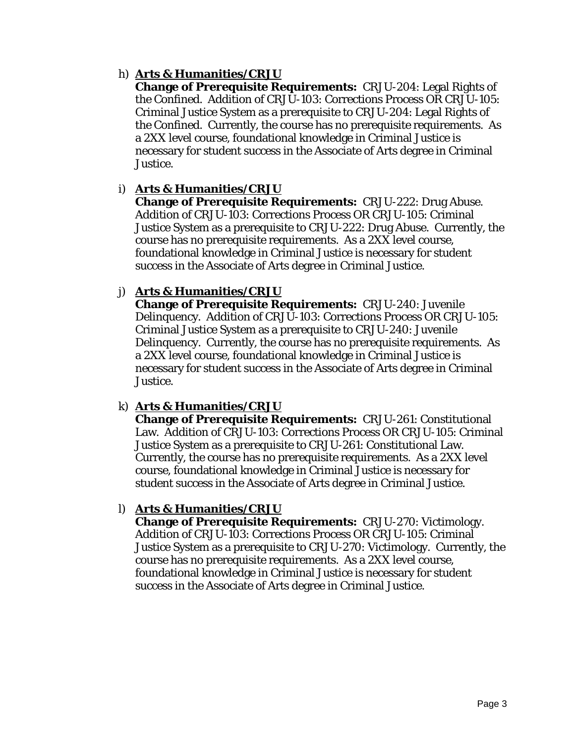# h) **Arts & Humanities/CRJU**

**Change of Prerequisite Requirements:** CRJU-204: Legal Rights of the Confined. Addition of CRJU-103: Corrections Process OR CRJU-105: Criminal Justice System as a prerequisite to CRJU-204: Legal Rights of the Confined. Currently, the course has no prerequisite requirements. As a 2XX level course, foundational knowledge in Criminal Justice is necessary for student success in the Associate of Arts degree in Criminal Justice.

#### i) **Arts & Humanities/CRJU**

**Change of Prerequisite Requirements:** CRJU-222: Drug Abuse. Addition of CRJU-103: Corrections Process OR CRJU-105: Criminal Justice System as a prerequisite to CRJU-222: Drug Abuse. Currently, the course has no prerequisite requirements. As a 2XX level course, foundational knowledge in Criminal Justice is necessary for student success in the Associate of Arts degree in Criminal Justice.

# j) **Arts & Humanities/CRJU**

**Change of Prerequisite Requirements:** CRJU-240: Juvenile Delinquency. Addition of CRJU-103: Corrections Process OR CRJU-105: Criminal Justice System as a prerequisite to CRJU-240: Juvenile Delinquency. Currently, the course has no prerequisite requirements. As a 2XX level course, foundational knowledge in Criminal Justice is necessary for student success in the Associate of Arts degree in Criminal Justice.

# k) **Arts & Humanities/CRJU**

**Change of Prerequisite Requirements:** CRJU-261: Constitutional Law. Addition of CRJU-103: Corrections Process OR CRJU-105: Criminal Justice System as a prerequisite to CRJU-261: Constitutional Law. Currently, the course has no prerequisite requirements. As a 2XX level course, foundational knowledge in Criminal Justice is necessary for student success in the Associate of Arts degree in Criminal Justice.

# l) **Arts & Humanities/CRJU**

**Change of Prerequisite Requirements:** CRJU-270: Victimology. Addition of CRJU-103: Corrections Process OR CRJU-105: Criminal Justice System as a prerequisite to CRJU-270: Victimology. Currently, the course has no prerequisite requirements. As a 2XX level course, foundational knowledge in Criminal Justice is necessary for student success in the Associate of Arts degree in Criminal Justice.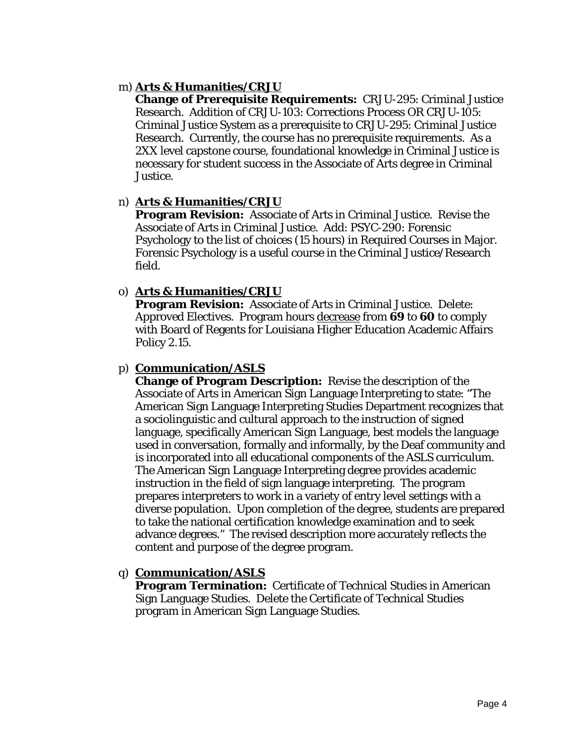#### m) **Arts & Humanities/CRJU**

**Change of Prerequisite Requirements:** CRJU-295: Criminal Justice Research. Addition of CRJU-103: Corrections Process OR CRJU-105: Criminal Justice System as a prerequisite to CRJU-295: Criminal Justice Research. Currently, the course has no prerequisite requirements. As a 2XX level capstone course, foundational knowledge in Criminal Justice is necessary for student success in the Associate of Arts degree in Criminal Justice.

#### n) **Arts & Humanities/CRJU**

**Program Revision:** Associate of Arts in Criminal Justice. Revise the Associate of Arts in Criminal Justice. Add: PSYC-290: Forensic Psychology to the list of choices (15 hours) in Required Courses in Major. Forensic Psychology is a useful course in the Criminal Justice/Research field.

# o) **Arts & Humanities/CRJU**

**Program Revision:** Associate of Arts in Criminal Justice. Delete: Approved Electives. Program hours decrease from **69** to **60** to comply with Board of Regents for Louisiana Higher Education Academic Affairs Policy 2.15.

# p) **Communication/ASLS**

**Change of Program Description:** Revise the description of the Associate of Arts in American Sign Language Interpreting to state: "The American Sign Language Interpreting Studies Department recognizes that a sociolinguistic and cultural approach to the instruction of signed language, specifically American Sign Language, best models the language used in conversation, formally and informally, by the Deaf community and is incorporated into all educational components of the ASLS curriculum. The American Sign Language Interpreting degree provides academic instruction in the field of sign language interpreting. The program prepares interpreters to work in a variety of entry level settings with a diverse population. Upon completion of the degree, students are prepared to take the national certification knowledge examination and to seek advance degrees." The revised description more accurately reflects the content and purpose of the degree program.

# q) **Communication/ASLS**

**Program Termination:** Certificate of Technical Studies in American Sign Language Studies. Delete the Certificate of Technical Studies program in American Sign Language Studies.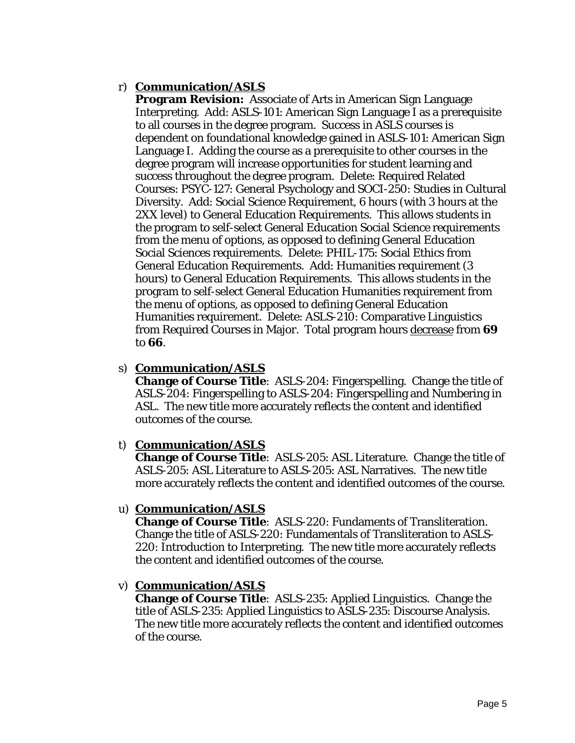# r) **Communication/ASLS**

**Program Revision:** Associate of Arts in American Sign Language Interpreting. Add: ASLS-101: American Sign Language I as a prerequisite to all courses in the degree program. Success in ASLS courses is dependent on foundational knowledge gained in ASLS-101: American Sign Language I. Adding the course as a prerequisite to other courses in the degree program will increase opportunities for student learning and success throughout the degree program. Delete: Required Related Courses: PSYC-127: General Psychology and SOCI-250: Studies in Cultural Diversity. Add: Social Science Requirement, 6 hours (with 3 hours at the 2XX level) to General Education Requirements. This allows students in the program to self-select General Education Social Science requirements from the menu of options, as opposed to defining General Education Social Sciences requirements. Delete: PHIL-175: Social Ethics from General Education Requirements. Add: Humanities requirement (3 hours) to General Education Requirements. This allows students in the program to self-select General Education Humanities requirement from the menu of options, as opposed to defining General Education Humanities requirement. Delete: ASLS-210: Comparative Linguistics from Required Courses in Major. Total program hours decrease from **69** to **66**.

#### s) **Communication/ASLS**

**Change of Course Title**: ASLS-204: Fingerspelling. Change the title of ASLS-204: Fingerspelling to ASLS-204: Fingerspelling and Numbering in ASL. The new title more accurately reflects the content and identified outcomes of the course.

#### t) **Communication/ASLS**

**Change of Course Title**: ASLS-205: ASL Literature. Change the title of ASLS-205: ASL Literature to ASLS-205: ASL Narratives. The new title more accurately reflects the content and identified outcomes of the course.

#### u) **Communication/ASLS**

**Change of Course Title**: ASLS-220: Fundaments of Transliteration. Change the title of ASLS-220: Fundamentals of Transliteration to ASLS-220: Introduction to Interpreting. The new title more accurately reflects the content and identified outcomes of the course.

#### v) **Communication/ASLS**

**Change of Course Title**: ASLS-235: Applied Linguistics. Change the title of ASLS-235: Applied Linguistics to ASLS-235: Discourse Analysis. The new title more accurately reflects the content and identified outcomes of the course.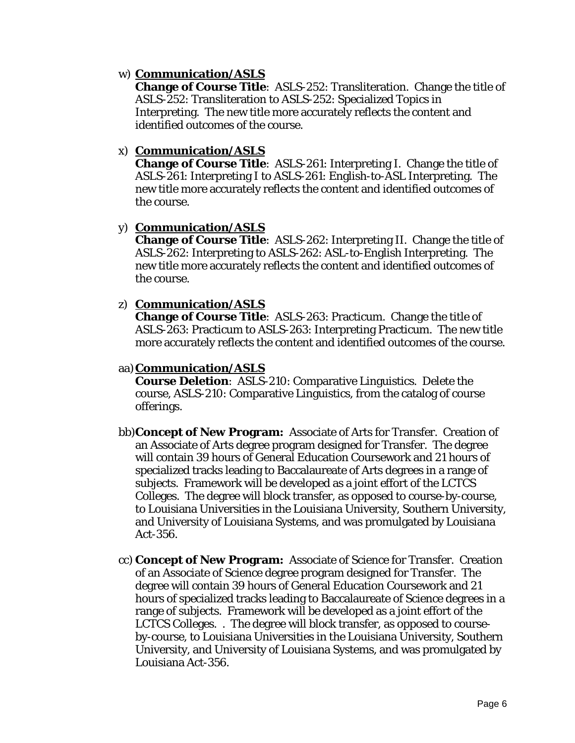#### w) **Communication/ASLS**

**Change of Course Title**: ASLS-252: Transliteration. Change the title of ASLS-252: Transliteration to ASLS-252: Specialized Topics in Interpreting. The new title more accurately reflects the content and identified outcomes of the course.

#### x) **Communication/ASLS**

**Change of Course Title**: ASLS-261: Interpreting I. Change the title of ASLS-261: Interpreting I to ASLS-261: English-to-ASL Interpreting. The new title more accurately reflects the content and identified outcomes of the course.

# y) **Communication/ASLS**

**Change of Course Title**: ASLS-262: Interpreting II. Change the title of ASLS-262: Interpreting to ASLS-262: ASL-to-English Interpreting. The new title more accurately reflects the content and identified outcomes of the course.

# z) **Communication/ASLS**

**Change of Course Title**: ASLS-263: Practicum. Change the title of ASLS-263: Practicum to ASLS-263: Interpreting Practicum. The new title more accurately reflects the content and identified outcomes of the course.

# aa)**Communication/ASLS**

**Course Deletion**: ASLS-210: Comparative Linguistics. Delete the course, ASLS-210: Comparative Linguistics, from the catalog of course offerings.

- bb)**Concept of New Program:** Associate of Arts for Transfer. Creation of an Associate of Arts degree program designed for Transfer. The degree will contain 39 hours of General Education Coursework and 21 hours of specialized tracks leading to Baccalaureate of Arts degrees in a range of subjects. Framework will be developed as a joint effort of the LCTCS Colleges. The degree will block transfer, as opposed to course-by-course, to Louisiana Universities in the Louisiana University, Southern University, and University of Louisiana Systems, and was promulgated by Louisiana Act-356.
- cc) **Concept of New Program:** Associate of Science for Transfer. Creation of an Associate of Science degree program designed for Transfer. The degree will contain 39 hours of General Education Coursework and 21 hours of specialized tracks leading to Baccalaureate of Science degrees in a range of subjects. Framework will be developed as a joint effort of the LCTCS Colleges. . The degree will block transfer, as opposed to courseby-course, to Louisiana Universities in the Louisiana University, Southern University, and University of Louisiana Systems, and was promulgated by Louisiana Act-356.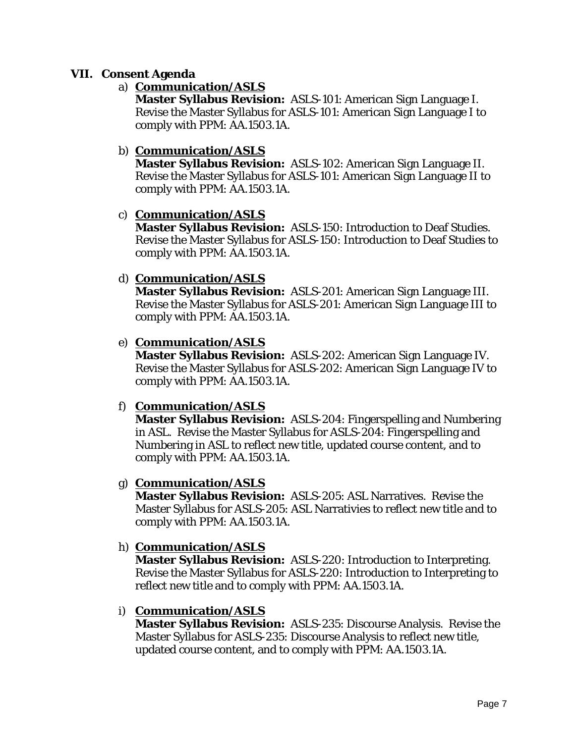#### **VII. Consent Agenda**

#### a) **Communication/ASLS**

**Master Syllabus Revision:** ASLS-101: American Sign Language I. Revise the Master Syllabus for ASLS-101: American Sign Language I to comply with PPM: AA.1503.1A.

#### b) **Communication/ASLS**

**Master Syllabus Revision:** ASLS-102: American Sign Language II. Revise the Master Syllabus for ASLS-101: American Sign Language II to comply with PPM: AA.1503.1A.

# c) **Communication/ASLS**

**Master Syllabus Revision:** ASLS-150: Introduction to Deaf Studies. Revise the Master Syllabus for ASLS-150: Introduction to Deaf Studies to comply with PPM: AA.1503.1A.

# d) **Communication/ASLS**

**Master Syllabus Revision:** ASLS-201: American Sign Language III. Revise the Master Syllabus for ASLS-201: American Sign Language III to comply with PPM: AA.1503.1A.

# e) **Communication/ASLS**

**Master Syllabus Revision:** ASLS-202: American Sign Language IV. Revise the Master Syllabus for ASLS-202: American Sign Language IV to comply with PPM: AA.1503.1A.

#### f) **Communication/ASLS**

**Master Syllabus Revision:** ASLS-204: Fingerspelling and Numbering in ASL. Revise the Master Syllabus for ASLS-204: Fingerspelling and Numbering in ASL to reflect new title, updated course content, and to comply with PPM: AA.1503.1A.

#### g) **Communication/ASLS**

**Master Syllabus Revision:** ASLS-205: ASL Narratives. Revise the Master Syllabus for ASLS-205: ASL Narrativies to reflect new title and to comply with PPM: AA.1503.1A.

#### h) **Communication/ASLS**

**Master Syllabus Revision:** ASLS-220: Introduction to Interpreting. Revise the Master Syllabus for ASLS-220: Introduction to Interpreting to reflect new title and to comply with PPM: AA.1503.1A.

#### i) **Communication/ASLS**

**Master Syllabus Revision:** ASLS-235: Discourse Analysis. Revise the Master Syllabus for ASLS-235: Discourse Analysis to reflect new title, updated course content, and to comply with PPM: AA.1503.1A.